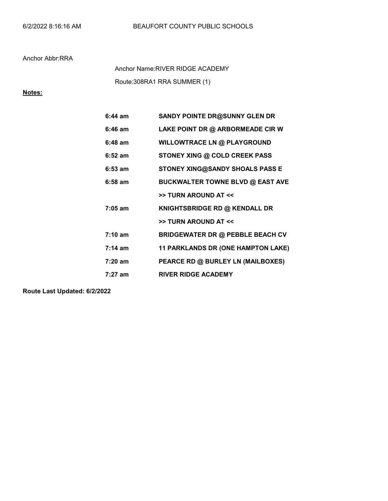## Anchor Abbr:RRA

Route:308RA1 RRA SUMMER (1) Anchor Name:RIVER RIDGE ACADEMY

## Notes:

| $6:44$ am         | <b>SANDY POINTE DR@SUNNY GLEN DR</b>    |  |  |
|-------------------|-----------------------------------------|--|--|
| $6:46$ am         | LAKE POINT DR @ ARBORMEADE CIR W        |  |  |
| $6:48$ am         | <b>WILLOWTRACE LN @ PLAYGROUND</b>      |  |  |
| $6:52 \; am$      | <b>STONEY XING @ COLD CREEK PASS</b>    |  |  |
| $6:53$ am         | <b>STONEY XING@SANDY SHOALS PASS E</b>  |  |  |
| $6:58$ am         | <b>BUCKWALTER TOWNE BLVD @ EAST AVE</b> |  |  |
|                   | >> TURN AROUND AT <<                    |  |  |
| $7:05$ am         | KNIGHTSBRIDGE RD @ KENDALL DR           |  |  |
|                   | >> TURN AROUND AT <<                    |  |  |
| $7:10 \text{ am}$ | <b>BRIDGEWATER DR @ PEBBLE BEACH CV</b> |  |  |
| $7:14 \text{ am}$ | 11 PARKLANDS DR (ONE HAMPTON LAKE)      |  |  |
| $7:20$ am         | PEARCE RD @ BURLEY LN (MAILBOXES)       |  |  |
| 7:27 am           | <b>RIVER RIDGE ACADEMY</b>              |  |  |

Route Last Updated: 6/2/2022